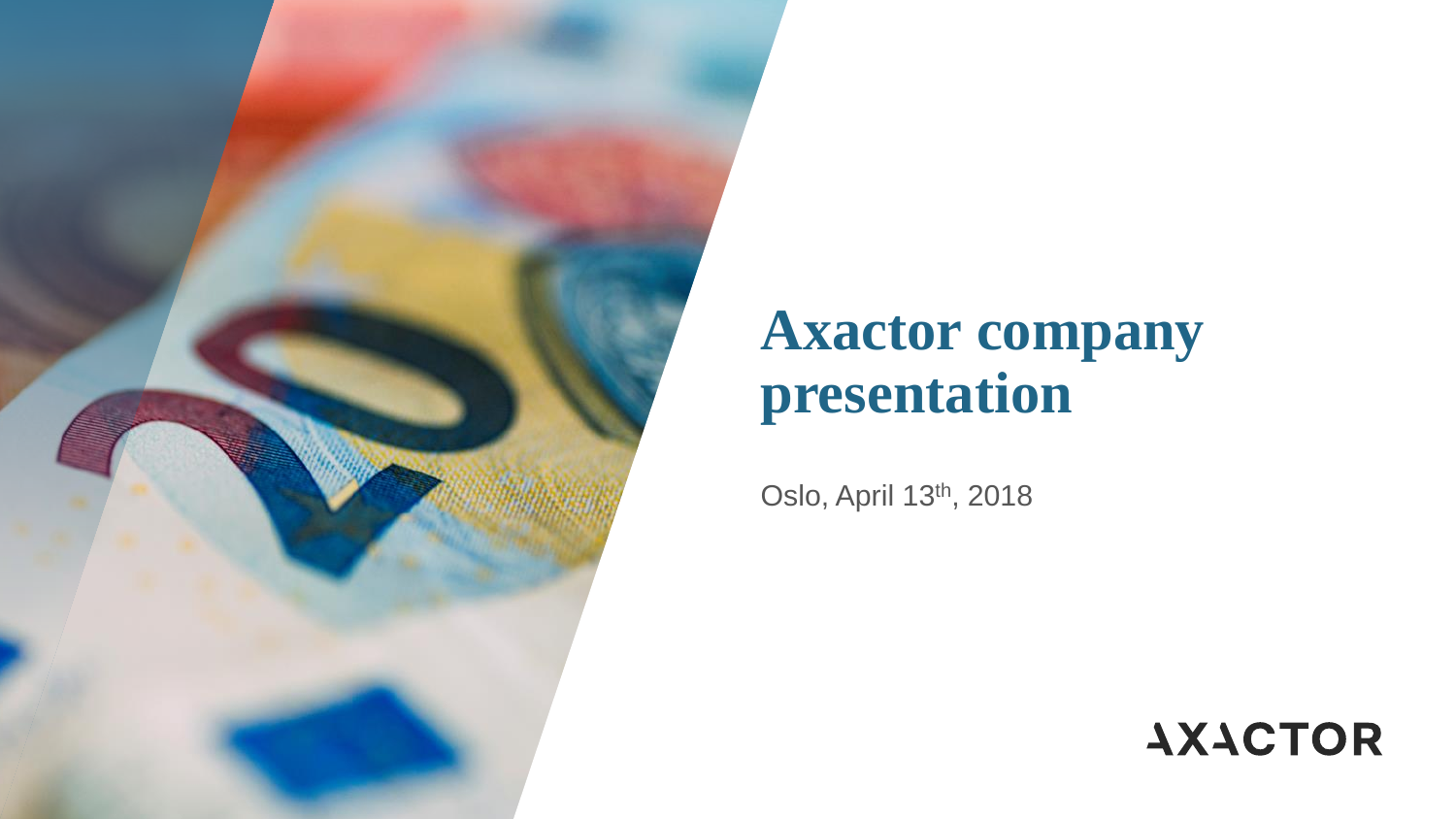

# **Axactor company presentation**

Oslo, April 13th, 2018

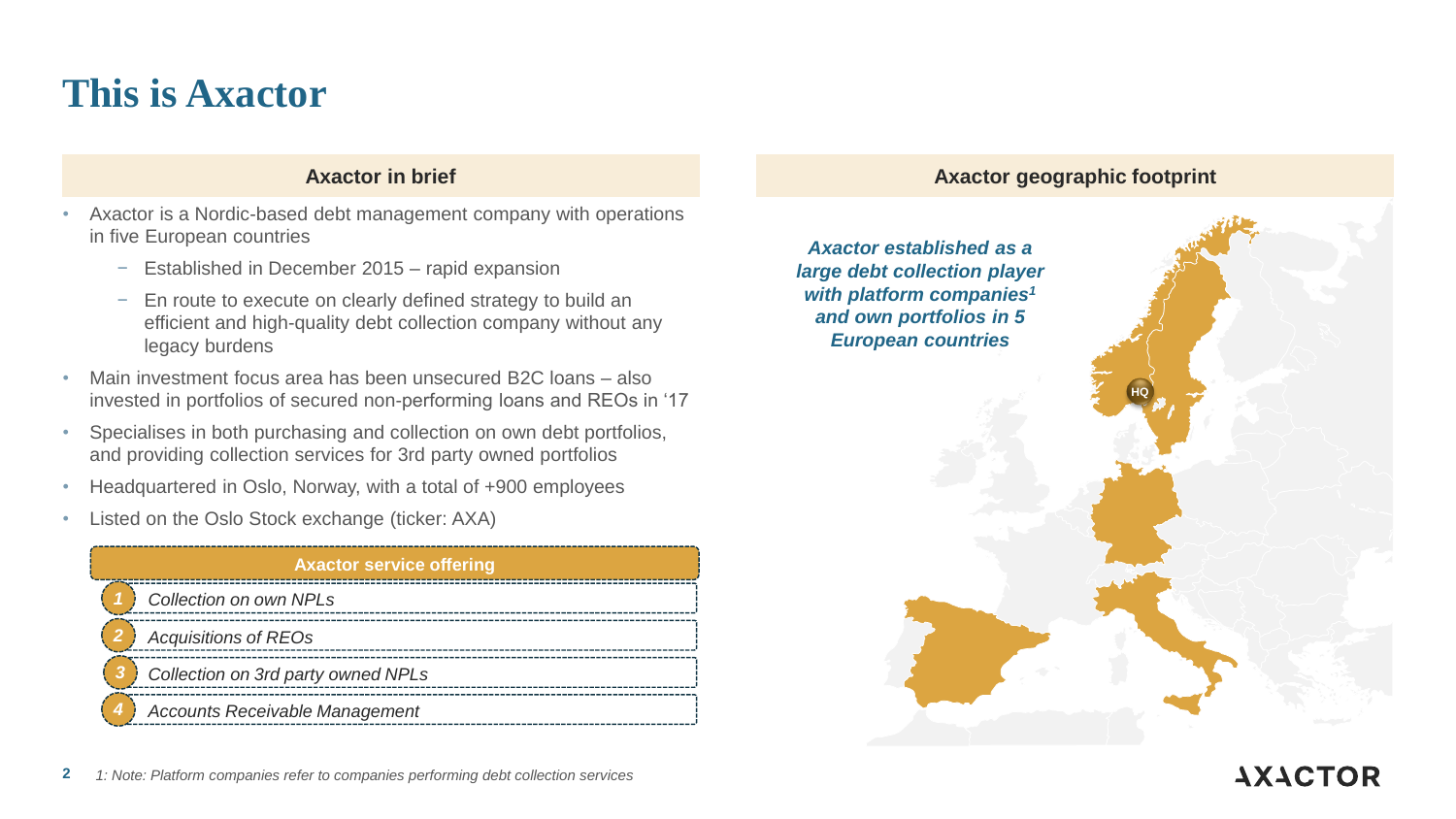### **This is Axactor**

#### **Axactor in brief**

- Axactor is a Nordic-based debt management company with operations in five European countries
	- − Established in December 2015 rapid expansion
	- − En route to execute on clearly defined strategy to build an efficient and high-quality debt collection company without any legacy burdens
- Main investment focus area has been unsecured B2C loans also invested in portfolios of secured non-performing loans and REOs in '17
- Specialises in both purchasing and collection on own debt portfolios, and providing collection services for 3rd party owned portfolios
- Headquartered in Oslo, Norway, with a total of +900 employees
- Listed on the Oslo Stock exchange (ticker: AXA)



#### **Axactor geographic footprint**

**HQ** *Axactor established as a large debt collection player with platform companies<sup>1</sup> and own portfolios in 5 European countries*

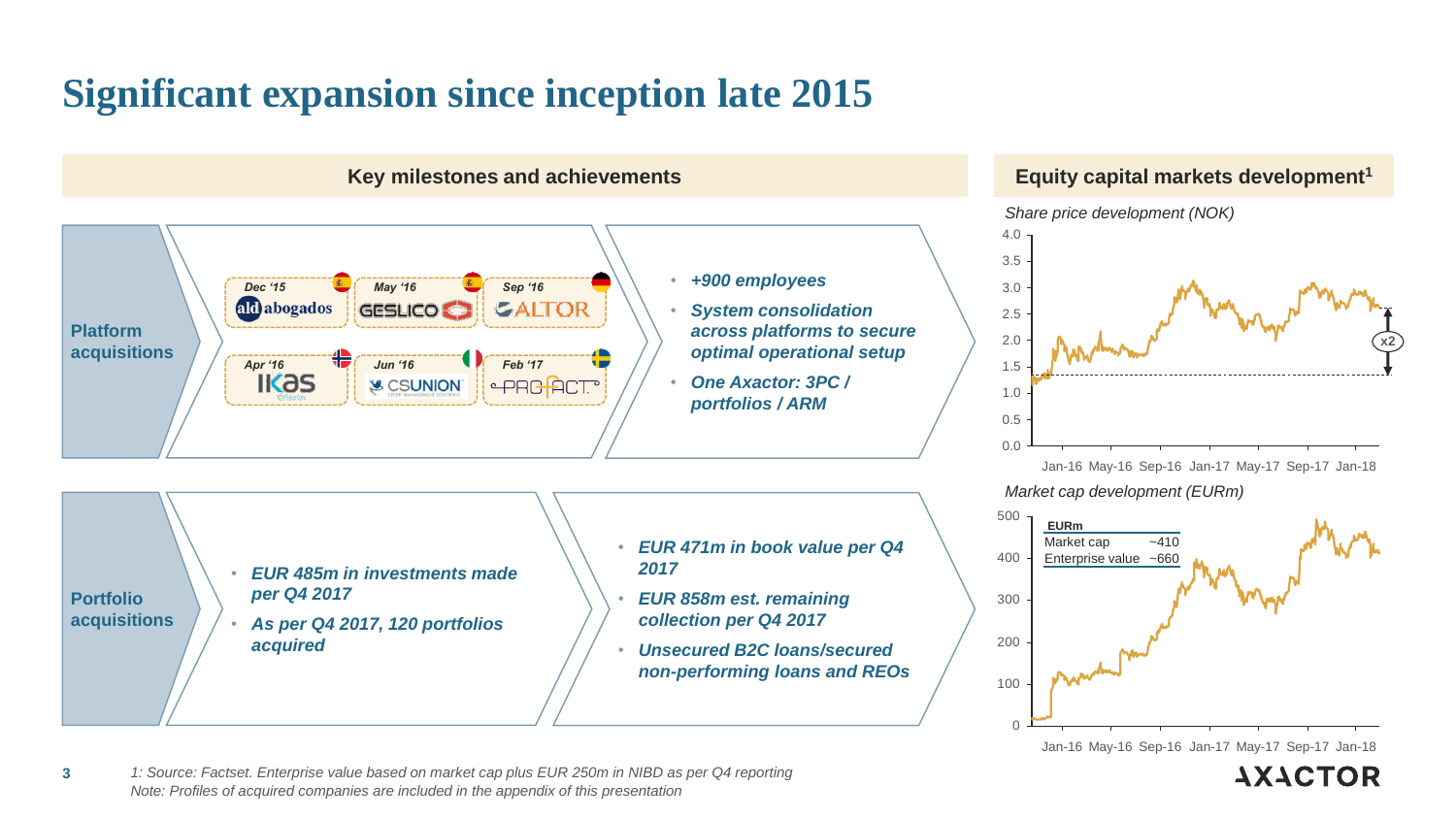## **Significant expansion since inception late 2015**



**Equity capital markets development<sup>1</sup>**

*Share price development (NOK)* Jan-16 May-16 Sep-16 Jan-17 May-17 Sep-17 Jan-18  $0.0$ 0.5 1.0 1.5 2.0 2.5 3.0 3.5 4.0 **x2** 

*Market cap development (EURm)*



Jan-16 May-16 Sep-16 Jan-17 May-17 Sep-17 Jan-18

**AXACTOR** 

**3** *1: Source: Factset. Enterprise value based on market cap plus EUR 250m in NIBD as per Q4 reporting Note: Profiles of acquired companies are included in the appendix of this presentation*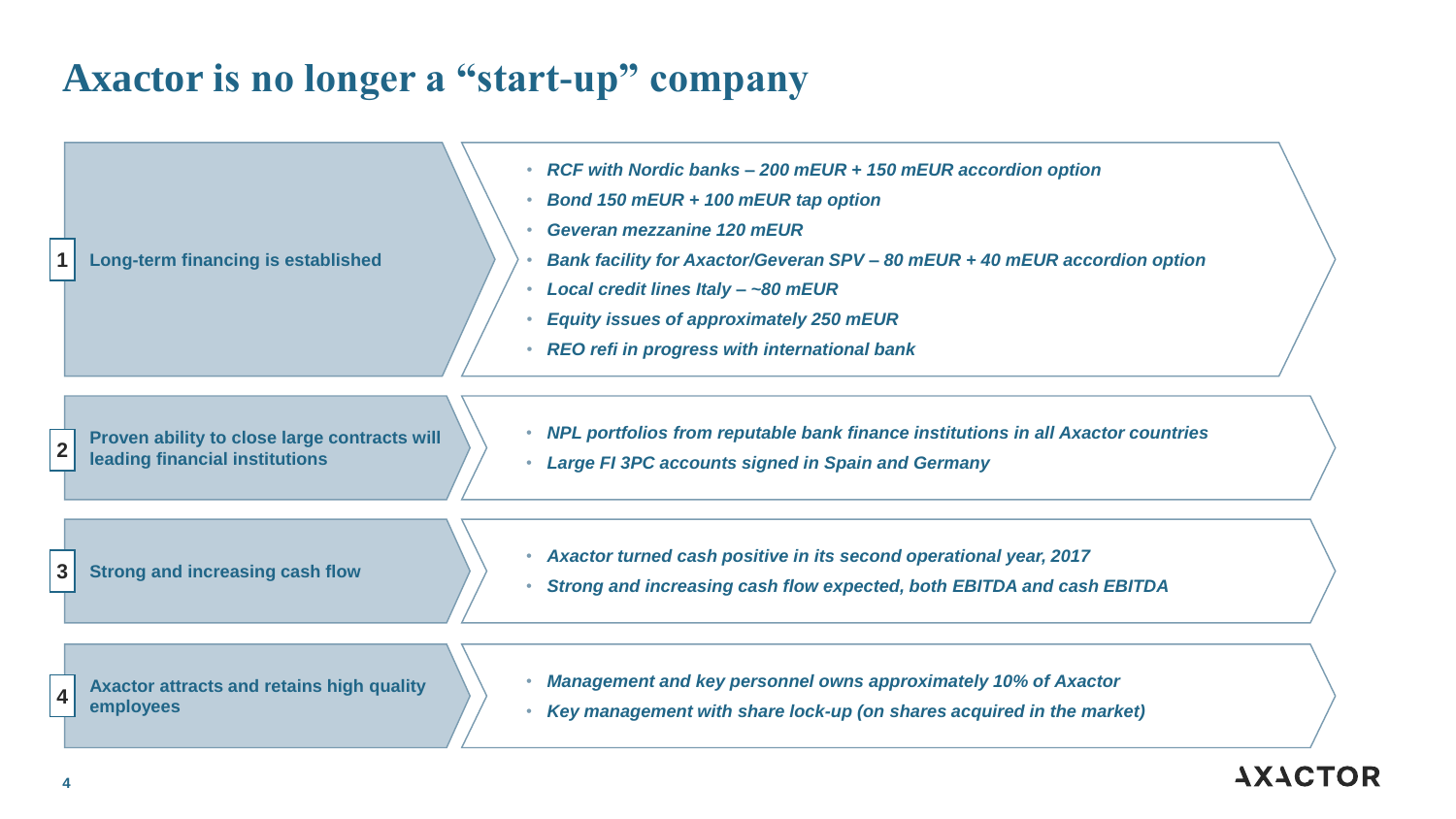### **Axactor is no longer a "start-up" company**

|                         | Long-term financing is established                                             | RCF with Nordic banks - 200 mEUR + 150 mEUR accordion option<br>Bond 150 mEUR + 100 mEUR tap option<br><b>Geveran mezzanine 120 mEUR</b><br>Bank facility for Axactor/Geveran SPV - 80 mEUR + 40 mEUR accordion option<br>Local credit lines Italy $-$ ~80 mEUR<br><b>Equity issues of approximately 250 mEUR</b><br><b>REO refi in progress with international bank</b> |  |
|-------------------------|--------------------------------------------------------------------------------|--------------------------------------------------------------------------------------------------------------------------------------------------------------------------------------------------------------------------------------------------------------------------------------------------------------------------------------------------------------------------|--|
|                         |                                                                                |                                                                                                                                                                                                                                                                                                                                                                          |  |
| $\overline{\mathbf{2}}$ | Proven ability to close large contracts will<br>leading financial institutions | NPL portfolios from reputable bank finance institutions in all Axactor countries<br><b>Large FI 3PC accounts signed in Spain and Germany</b>                                                                                                                                                                                                                             |  |
| $\mathbf{3}$            | <b>Strong and increasing cash flow</b>                                         | Axactor turned cash positive in its second operational year, 2017<br>Strong and increasing cash flow expected, both EBITDA and cash EBITDA                                                                                                                                                                                                                               |  |
| $\overline{\mathbf{4}}$ | <b>Axactor attracts and retains high quality</b><br>employees                  | <b>Management and key personnel owns approximately 10% of Axactor</b><br>Key management with share lock-up (on shares acquired in the market)                                                                                                                                                                                                                            |  |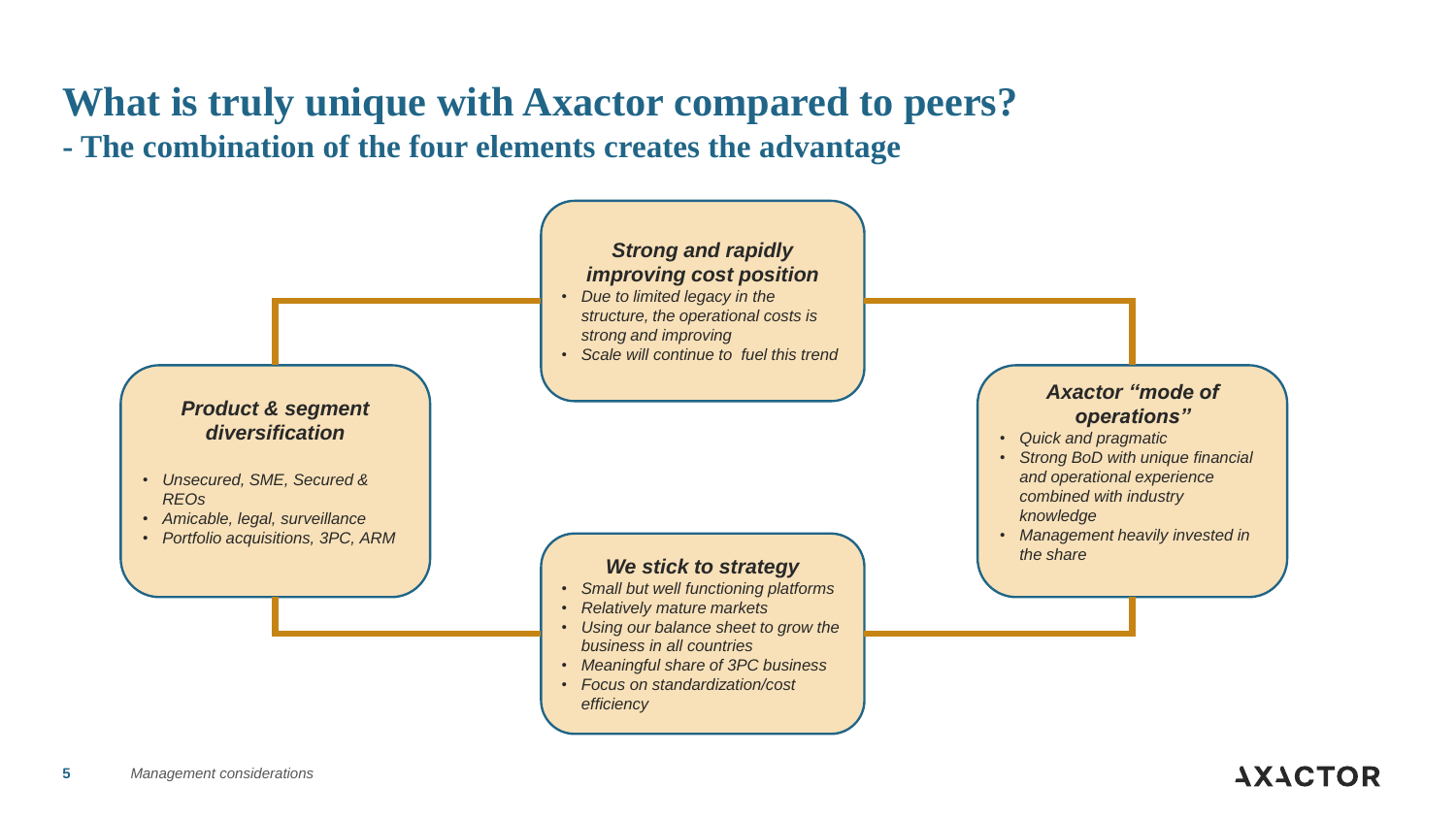### **What is truly unique with Axactor compared to peers? - The combination of the four elements creates the advantage**

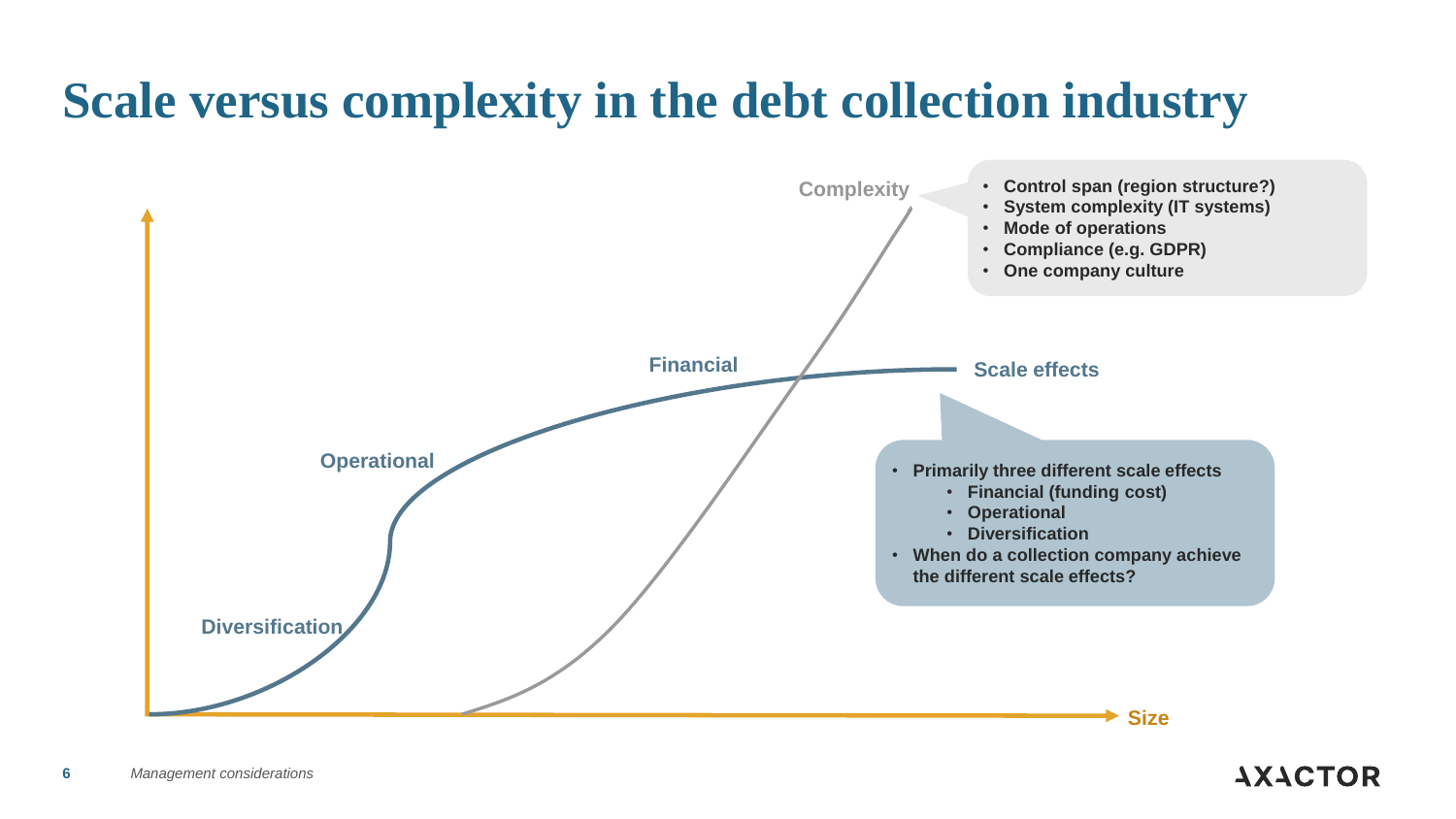# **Scale versus complexity in the debt collection industry**

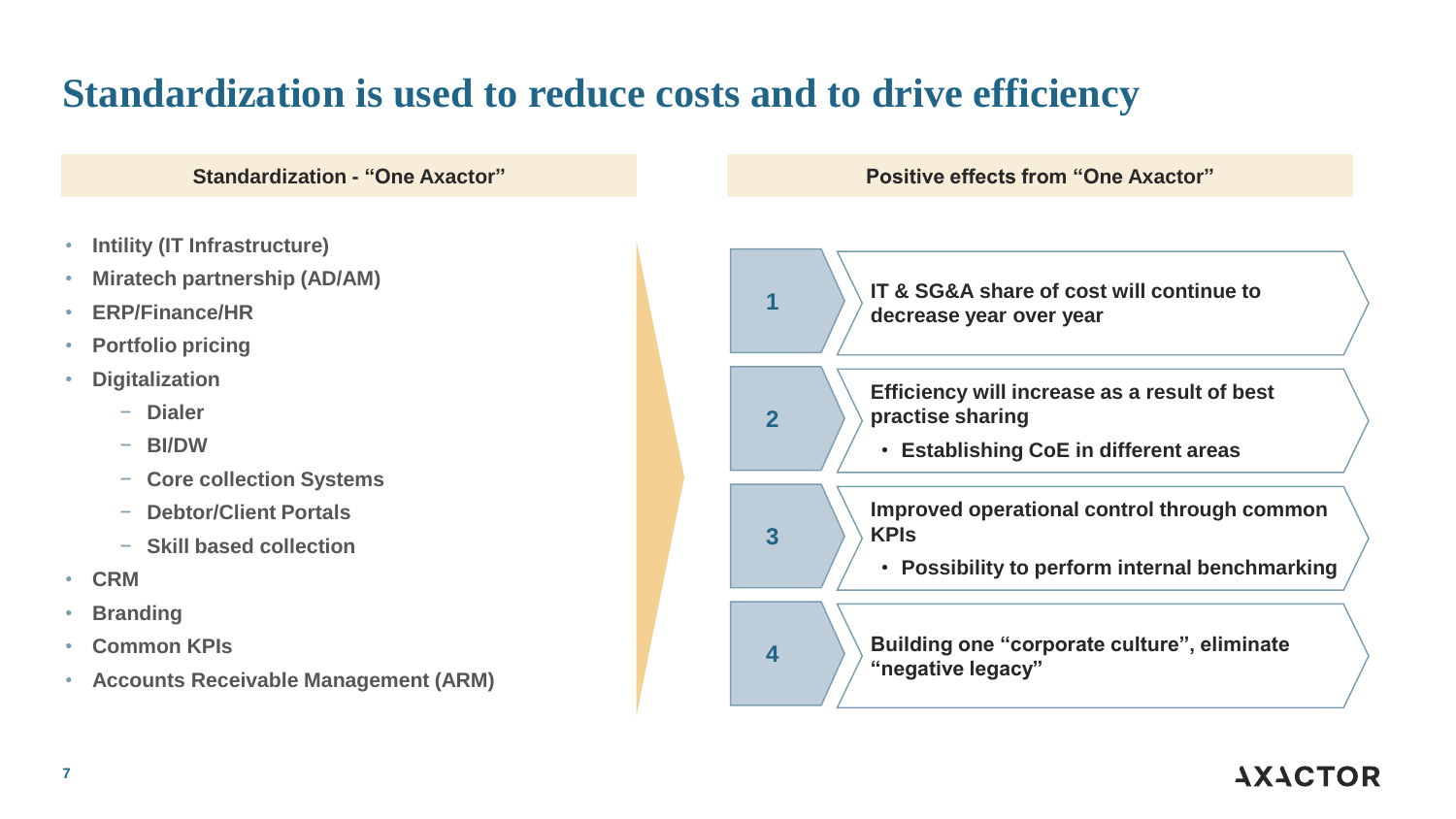## **Standardization is used to reduce costs and to drive efficiency**

**1**

**2**

**3**

**4**

- **Intility (IT Infrastructure)**
- **Miratech partnership (AD/AM)**
- **ERP/Finance/HR**
- **Portfolio pricing**
- **Digitalization**
	- − **Dialer**
	- − **BI/DW**
	- − **Core collection Systems**
	- − **Debtor/Client Portals**
	- − **Skill based collection**
- **CRM**
- **Branding**
- **Common KPIs**
- **Accounts Receivable Management (ARM)**

#### **Standardization - "One Axactor" Positive effects from "One Axactor"**



#### **Efficiency will increase as a result of best practise sharing**

• **Establishing CoE in different areas**

**Improved operational control through common KPIs**

• **Possibility to perform internal benchmarking**

**Building one "corporate culture", eliminate "negative legacy"**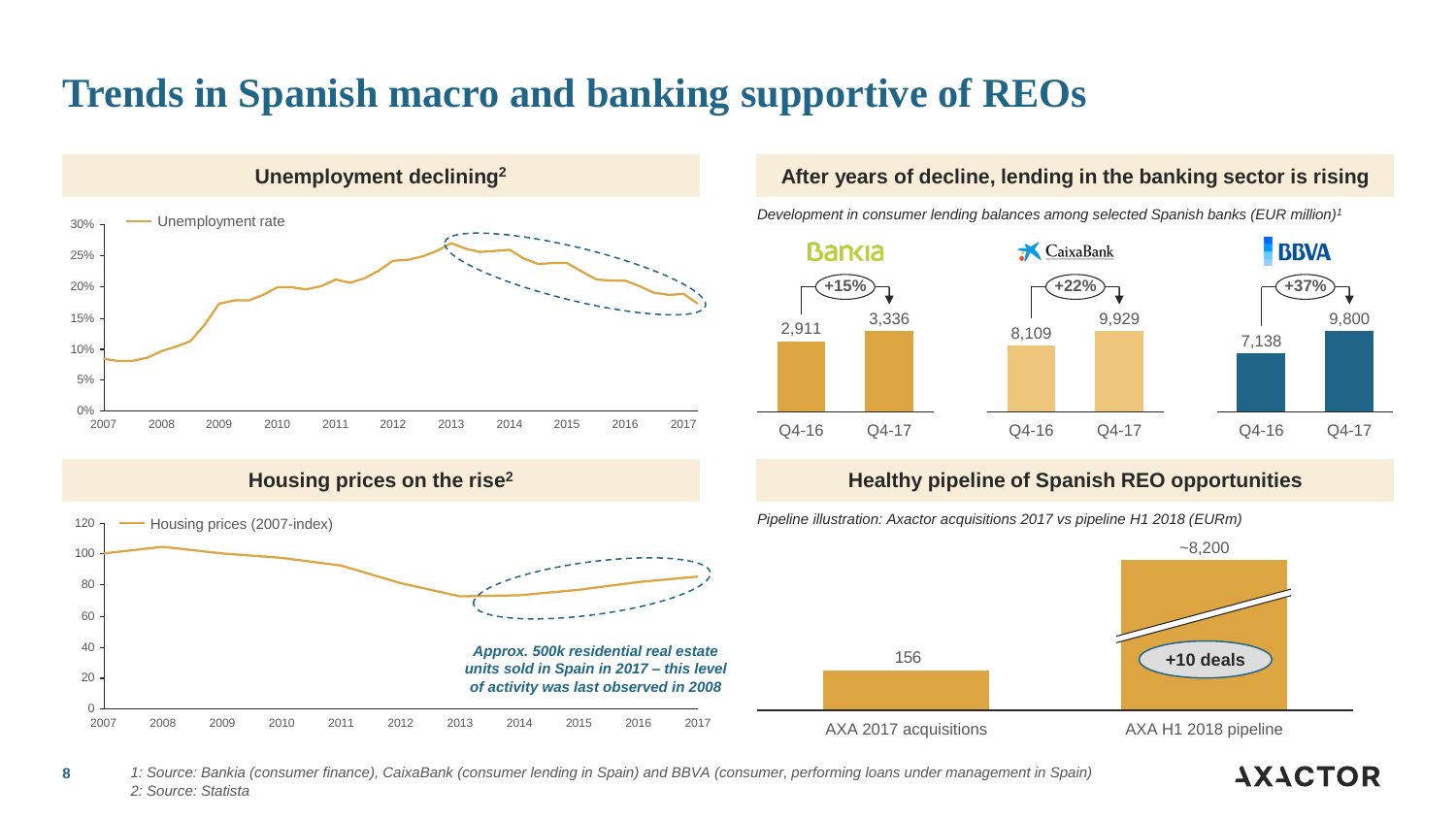### **Trends in Spanish macro and banking supportive of REOs**



#### **Unemployment declining<sup>2</sup> After years of decline, lending in the banking sector is rising**

*Development in consumer lending balances among selected Spanish banks (EUR million)<sup>1</sup>*



#### **Housing prices on the rise<sup>2</sup> Healthy pipeline of Spanish REO opportunities**



*Pipeline illustration: Axactor acquisitions 2017 vs pipeline H1 2018 (EURm)*



**8** *1: Source: Bankia (consumer finance), CaixaBank (consumer lending in Spain) and BBVA (consumer, performing loans under management in Spain) 2: Source: Statista*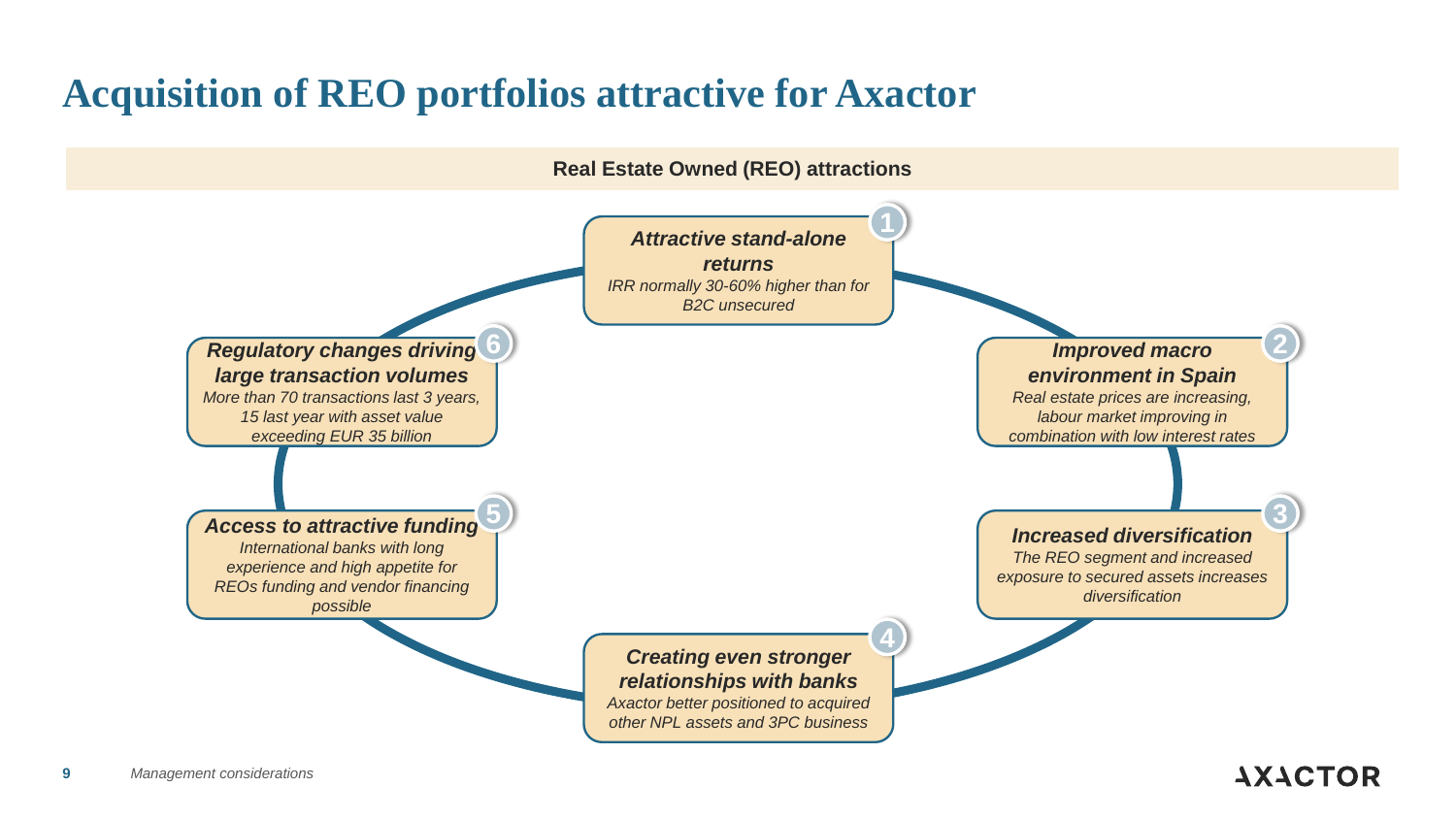### **Acquisition of REO portfolios attractive for Axactor**

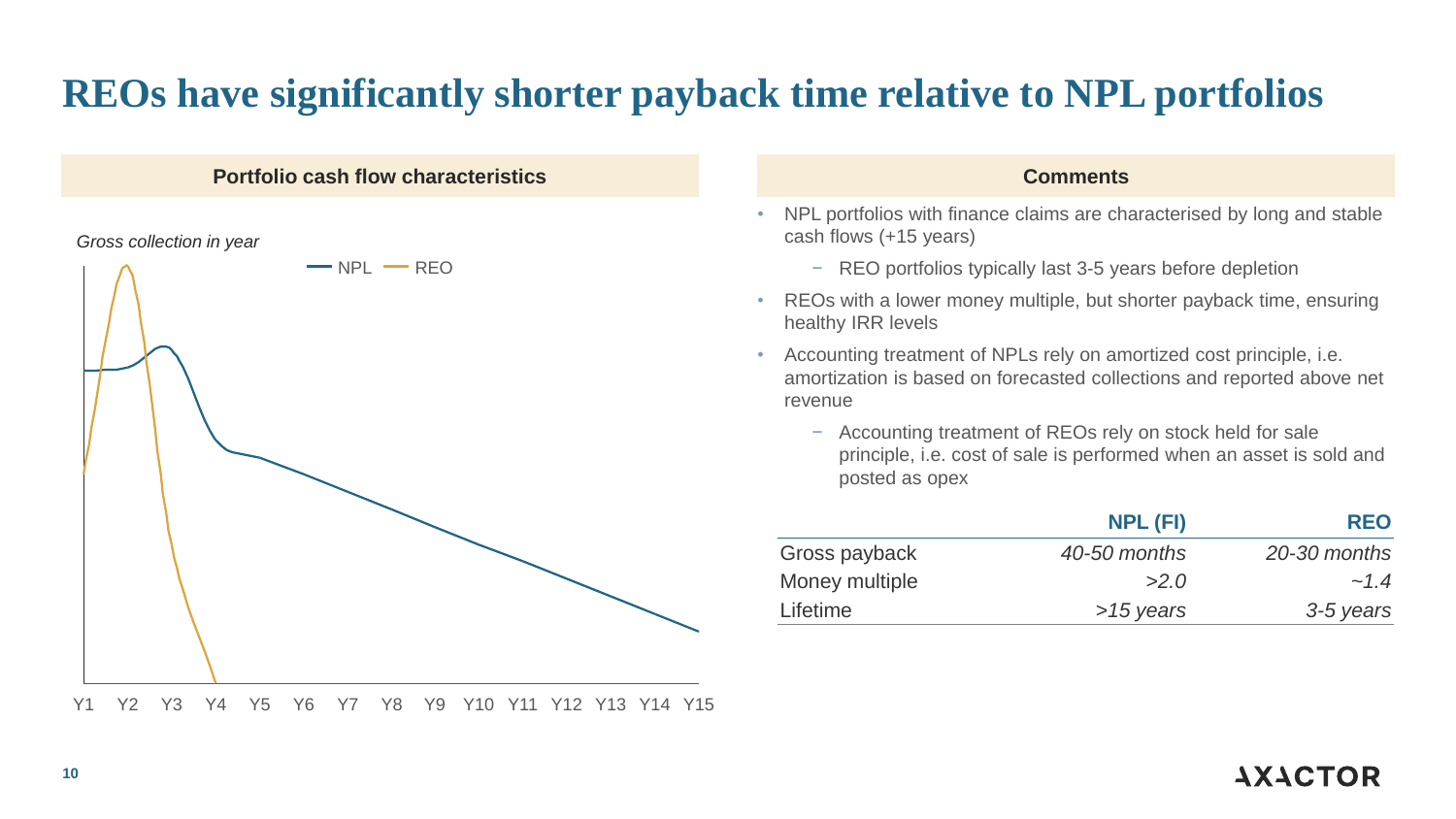## **REOs have significantly shorter payback time relative to NPL portfolios**

#### **Portfolio cash flow characteristics Comments**



- NPL portfolios with finance claims are characterised by long and stable cash flows (+15 years)
	- − REO portfolios typically last 3-5 years before depletion
- REOs with a lower money multiple, but shorter payback time, ensuring healthy IRR levels
- Accounting treatment of NPLs rely on amortized cost principle, i.e. amortization is based on forecasted collections and reported above net revenue
	- − Accounting treatment of REOs rely on stock held for sale principle, i.e. cost of sale is performed when an asset is sold and posted as opex

|                | NPL (FI)     | <b>REO</b>   |
|----------------|--------------|--------------|
| Gross payback  | 40-50 months | 20-30 months |
| Money multiple | >2.0         | $-1.4$       |
| Lifetime       | $>15$ years  | 3-5 years    |